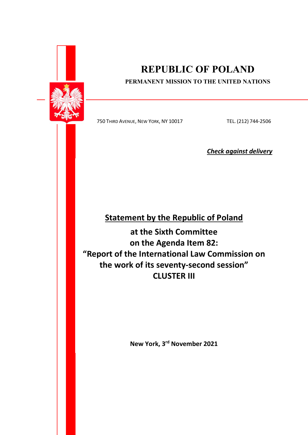

# REPUBLIC OF POLAND

### PERMANENT MISSION TO THE UNITED NATIONS

750 THIRD AVENUE, NEW YORK, NY 10017 TEL. (212) 744-2506

Check against delivery

## Statement by the Republic of Poland

at the Sixth Committee on the Agenda Item 82: "Report of the International Law Commission on the work of its seventy-second session" CLUSTER III

New York, 3rd November 2021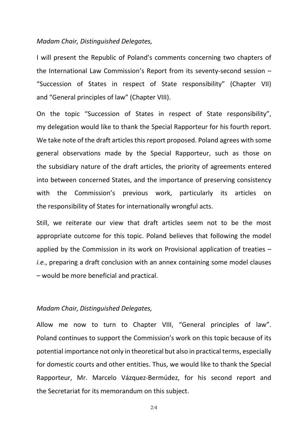#### Madam Chair, Distinguished Delegates,

I will present the Republic of Poland's comments concerning two chapters of the International Law Commission's Report from its seventy-second session – "Succession of States in respect of State responsibility" (Chapter VII) and "General principles of law" (Chapter VIII).

On the topic "Succession of States in respect of State responsibility", my delegation would like to thank the Special Rapporteur for his fourth report. We take note of the draft articles this report proposed. Poland agrees with some general observations made by the Special Rapporteur, such as those on the subsidiary nature of the draft articles, the priority of agreements entered into between concerned States, and the importance of preserving consistency with the Commission's previous work, particularly its articles on the responsibility of States for internationally wrongful acts.

Still, we reiterate our view that draft articles seem not to be the most appropriate outcome for this topic. Poland believes that following the model applied by the Commission in its work on Provisional application of treaties – i.e., preparing a draft conclusion with an annex containing some model clauses – would be more beneficial and practical.

### Madam Chair, Distinguished Delegates,

Allow me now to turn to Chapter VIII, "General principles of law". Poland continues to support the Commission's work on this topic because of its potential importance not only in theoretical but also in practical terms, especially for domestic courts and other entities. Thus, we would like to thank the Special Rapporteur, Mr. Marcelo Vázquez-Bermúdez, for his second report and the Secretariat for its memorandum on this subject.

2/4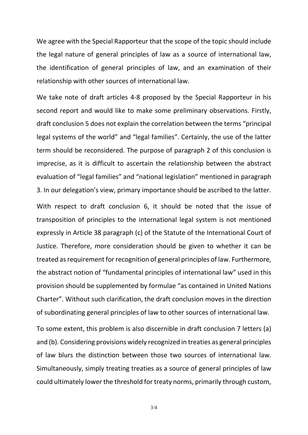We agree with the Special Rapporteur that the scope of the topic should include the legal nature of general principles of law as a source of international law, the identification of general principles of law, and an examination of their relationship with other sources of international law.

We take note of draft articles 4-8 proposed by the Special Rapporteur in his second report and would like to make some preliminary observations. Firstly, draft conclusion 5 does not explain the correlation between the terms "principal legal systems of the world" and "legal families". Certainly, the use of the latter term should be reconsidered. The purpose of paragraph 2 of this conclusion is imprecise, as it is difficult to ascertain the relationship between the abstract evaluation of "legal families" and "national legislation" mentioned in paragraph 3. In our delegation's view, primary importance should be ascribed to the latter.

With respect to draft conclusion 6, it should be noted that the issue of transposition of principles to the international legal system is not mentioned expressly in Article 38 paragraph (c) of the Statute of the International Court of Justice. Therefore, more consideration should be given to whether it can be treated as requirement for recognition of general principles of law. Furthermore, the abstract notion of "fundamental principles of international law" used in this provision should be supplemented by formulae "as contained in United Nations Charter". Without such clarification, the draft conclusion moves in the direction of subordinating general principles of law to other sources of international law.

To some extent, this problem is also discernible in draft conclusion 7 letters (a) and (b). Considering provisions widely recognized in treaties as general principles of law blurs the distinction between those two sources of international law. Simultaneously, simply treating treaties as a source of general principles of law could ultimately lower the threshold for treaty norms, primarily through custom,

3/4